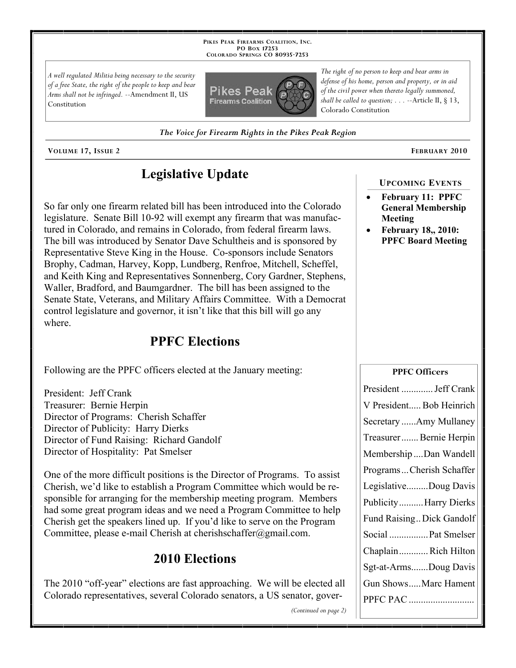**PIKES PEAK FIREARMS COALITION, INC. PO BOX 17253 COLORADO SPRINGS CO 80935 -7253**

*A well regulated Militia being necessary to the security of a free State, the right of the people to keep and bear Arms shall not be infringed.* --Amendment II, US Constitution



*The right of no person to keep and bear arms in defense of his home, person and property, or in aid of the civil power when thereto legally summoned, shall be called to question; . . .* --Article II, § 13, Colorado Constitution

*The Voice for Firearm Rights in the Pikes Peak Region*

**VOLUME 17, ISSUE 2 FEBRUARY 2010**

# **Legislative Update**

So far only one firearm related bill has been introduced into the Colorado legislature. Senate Bill 10-92 will exempt any firearm that was manufactured in Colorado, and remains in Colorado, from federal firearm laws. The bill was introduced by Senator Dave Schultheis and is sponsored by Representative Steve King in the House. Co-sponsors include Senators Brophy, Cadman, Harvey, Kopp, Lundberg, Renfroe, Mitchell, Scheffel, and Keith King and Representatives Sonnenberg, Cory Gardner, Stephens, Waller, Bradford, and Baumgardner. The bill has been assigned to the Senate State, Veterans, and Military Affairs Committee. With a Democrat control legislature and governor, it isn't like that this bill will go any where.

## **PPFC Elections**

Following are the PPFC officers elected at the January meeting:

President: Jeff Crank Treasurer: Bernie Herpin Director of Programs: Cherish Schaffer Director of Publicity: Harry Dierks Director of Fund Raising: Richard Gandolf Director of Hospitality: Pat Smelser

One of the more difficult positions is the Director of Programs. To assist Cherish, we'd like to establish a Program Committee which would be responsible for arranging for the membership meeting program. Members had some great program ideas and we need a Program Committee to help Cherish get the speakers lined up. If you'd like to serve on the Program Committee, please e-mail Cherish at cherishschaffer@gmail.com.

### **2010 Elections**

The 2010 "off-year" elections are fast approaching. We will be elected all Colorado representatives, several Colorado senators, a US senator, gover**UPCOMING EVENTS**

- **February 11: PPFC General Membership Meeting**
- **February 18,, 2010: PPFC Board Meeting**

| <b>PPFC Officers</b>      |
|---------------------------|
| President  Jeff Crank     |
| V President Bob Heinrich  |
| Secretary Amy Mullaney    |
| Treasurer Bernie Herpin   |
| Membership  Dan Wandell   |
| ProgramsCherish Schaffer  |
| LegislativeDoug Davis     |
| PublicityHarry Dierks     |
| Fund Raising Dick Gandolf |
| Social  Pat Smelser       |
| Chaplain  Rich Hilton     |
| Sgt-at-ArmsDoug Davis     |
| Gun ShowsMarc Hament      |
| PPFC PAC                  |
|                           |

*(Continued on page 2)*